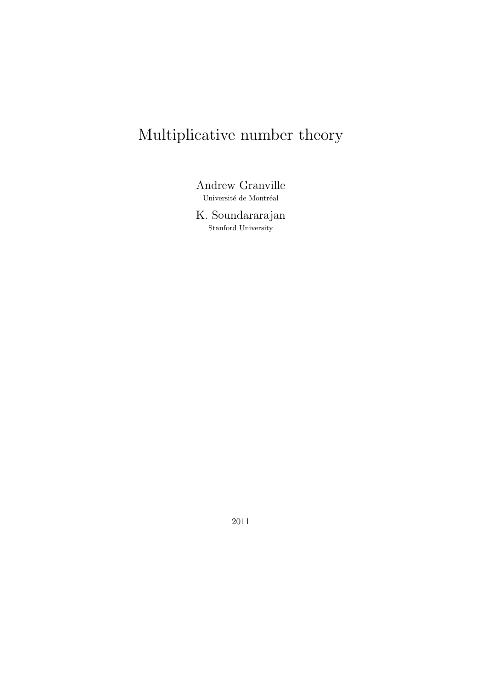# Multiplicative number theory

Andrew Granville Université de Montréal

K. Soundararajan Stanford University

2011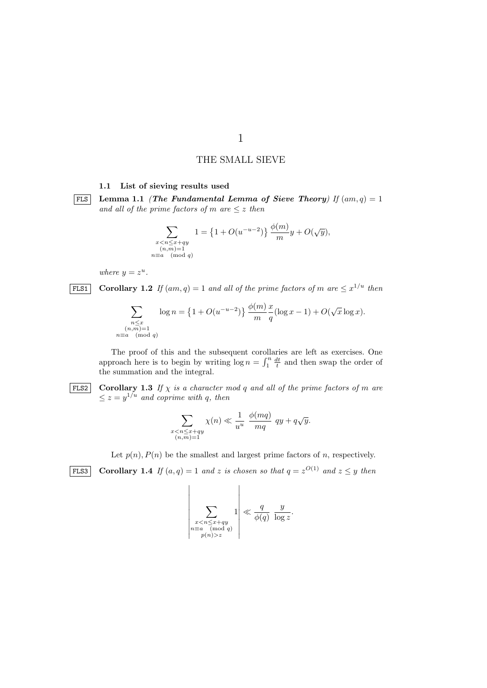# THE SMALL SIEVE

**1.1 List of sieving results used**

**FLS** Lemma 1.1 *(The Fundamental Lemma of Sieve Theory)* If  $(am,q) = 1$ *and all of the prime factors of*  $m$  *are*  $\leq z$  *then* 

$$
\sum_{\substack{x < n \le x + qy \\ (n,m) = 1 \\ n \equiv a \pmod{q}}} 1 = \left\{ 1 + O(u^{-u-2}) \right\} \frac{\phi(m)}{m} y + O(\sqrt{y}),
$$

*where*  $y = z^u$ .

**FLS1 Corollary 1.2** If  $(am, q) = 1$  and all of the prime factors of m are  $\leq x^{1/u}$  then

$$
\sum_{\substack{n \le x \\ (n,m)=1 \\ n \equiv a \pmod{q}}} \log n = \left\{1 + O(u^{-u-2})\right\} \frac{\phi(m)}{m} \frac{x}{q} (\log x - 1) + O(\sqrt{x} \log x).
$$

The proof of this and the subsequent corollaries are left as exercises. One approach here is to begin by writing  $\log n = \int_1^n \frac{dt}{t}$  and then swap the order of the summation and the integral.

**FLS2 Corollary 1.3** If  $\chi$  is a character mod q and all of the prime factors of m are  $\leq z = y^{1/u}$  *and coprime with q, then* 

$$
\sum_{\substack{x < n \le x + qy \\ (n,m) = 1}} \chi(n) \ll \frac{1}{u^u} \frac{\phi(mq)}{mq} \ qy + q\sqrt{y}.
$$

Let  $p(n)$ ,  $P(n)$  be the smallest and largest prime factors of *n*, respectively.

**FLS3 Corollary 1.4** *If*  $(a,q) = 1$  *and z is chosen so that*  $q = z^{O(1)}$  *and*  $z \leq y$  *then* 

$$
\left|\sum_{\substack{x < n \le x + qy \\ n \equiv a \pmod{q} \\ p(n) > z}} 1\right| \ll \frac{q}{\phi(q)} \frac{y}{\log z}.
$$

1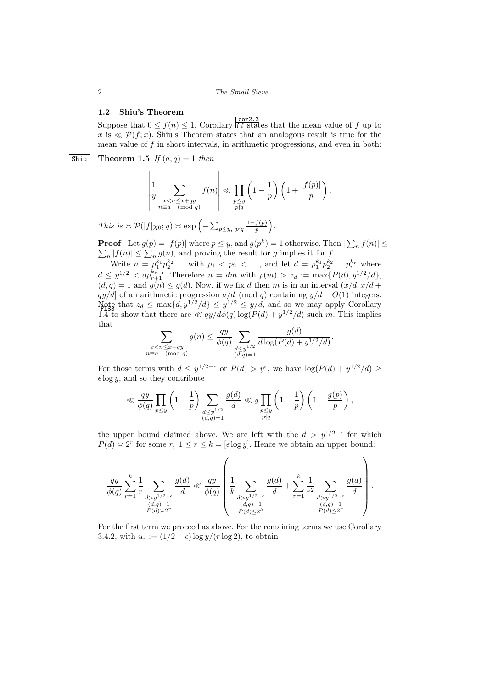## **1.2 Shiu's Theorem**

Suppose that  $0 \le f(n) \le 1$ . Corollary <sup>| cor2.3</sup> states that the mean value of *f* up to  $x$  is  $\ll \mathcal{P}(f; x)$ . Shiu's Theorem states that an analogous result is true for the mean value of *f* in short intervals, in arithmetic progressions, and even in both:

 $\boxed{\text{Shiu}}$  **Theorem 1.5** *If*  $(a, q) = 1$  *then* 

$$
\left|\frac{1}{y}\sum_{\substack{x
$$

*This is*  $\approx \mathcal{P}(|f|\chi_0; y) \approx \exp\left(-\sum_{p \leq y, p \nmid q} \frac{1 - f(p)}{p}\right)$ .

**Proof** Let  $g(p) = |f(p)|$  where  $p \leq y$ , and  $g(p^k) = 1$  otherwise. Then  $|\sum_{n} f(n)| \leq$ *<sup>n</sup>* <sup>∑</sup> *n |f*(*n*)*| ≤* ∑ *n g*(*n*), and proving the result for *g* implies it for *f*.

Write  $n = p_1^{k_1} p_2^{k_2} \dots$  with  $p_1 < p_2 < \dots$ , and let  $d = p_1^{k_1} p_2^{k_2} \dots p_r^{k_r}$  where  $d \leq y^{1/2} < dp_{r+1}^{k_{r+1}}$ . Therefore  $n = dm$  with  $p(m) > z_d := \max\{P(d), y^{1/2}/d\}$ ,  $(d, q) = 1$  and  $g(n) \leq g(d)$ . Now, if we fix *d* then *m* is in an interval  $(x/d, x/d +$  $qy/d$  of an arithmetic progression  $a/d \pmod{q}$  containing  $y/d + O(1)$  integers. Note that  $z_d \le \max\{d, y^{1/2}/d\} \le y^{1/2} \le y/d$ , and so we may apply Corollary 1.4 to show that there are  $\ll qy/d\phi(q) \log(P(d) + y^{1/2}/d)$  such m. This implies that  $\overline{a}$ 

$$
\sum_{\substack{x < n \le x+qy \\ n \equiv a \pmod{q}}} g(n) \le \frac{qy}{\phi(q)} \sum_{\substack{d \le y^{1/2} \\ (d,q)=1}} \frac{g(d)}{d \log(P(d)+y^{1/2}/d)}.
$$

For those terms with  $d \leq y^{1/2-\epsilon}$  or  $P(d) > y^{\epsilon}$ , we have  $\log(P(d) + y^{1/2}/d) \geq$  $\epsilon$  log *y*, and so they contribute

$$
\ll \frac{qy}{\phi(q)} \prod_{p \le y} \left(1 - \frac{1}{p}\right) \sum_{\substack{d \le y^{1/2} \\ (d,q) = 1}} \frac{g(d)}{d} \ll y \prod_{\substack{p \le y \\ p \nmid q}} \left(1 - \frac{1}{p}\right) \left(1 + \frac{g(p)}{p}\right),
$$

the upper bound claimed above. We are left with the  $d > y^{1/2-\epsilon}$  for which  $P(d) \approx 2^r$  for some *r*,  $1 \le r \le k = [\epsilon \log y]$ . Hence we obtain an upper bound:

$$
\frac{qy}{\phi(q)} \sum_{r=1}^{k} \frac{1}{r} \sum_{\substack{d>y^{1/2-\epsilon} \\ (d,q)=1 \\ P(d) \asymp 2^r}} \frac{g(d)}{d} \ll \frac{qy}{\phi(q)} \left( \frac{1}{k} \sum_{\substack{d>y^{1/2-\epsilon} \\ d> y^{1/2-\epsilon} \\ P(d) \le 2^k}} \frac{g(d)}{d} + \sum_{r=1}^{k} \frac{1}{r^2} \sum_{\substack{d>y^{1/2-\epsilon} \\ (d,q)=1 \\ P(d) \le 2^r}} \frac{g(d)}{d} \right).
$$

For the first term we proceed as above. For the remaining terms we use Corollary 3.4.2, with  $u_r := (1/2 - \epsilon) \log y/(r \log 2)$ , to obtain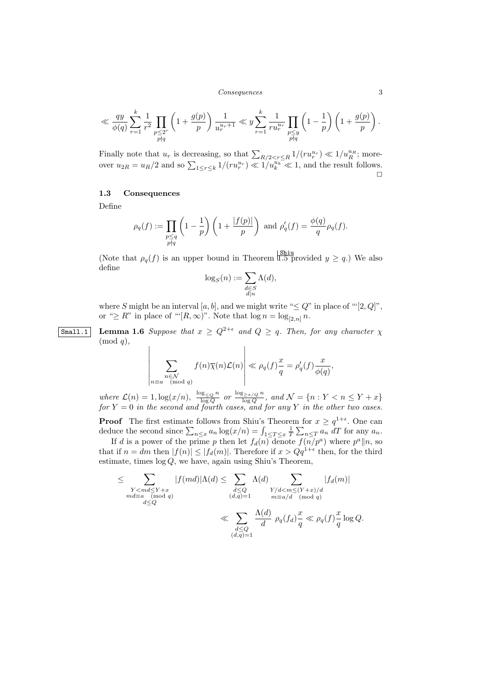#### *Consequences* 3

$$
\ll \frac{qy}{\phi(q)} \sum_{r=1}^k \frac{1}{r^2} \prod_{\substack{p \leq 2^r \\ p \nmid q}} \left(1 + \frac{g(p)}{p}\right) \frac{1}{u_r^{u_r+1}} \ll y \sum_{r=1}^k \frac{1}{ru_r^{u_r}} \prod_{\substack{p \leq y \\ p \nmid q}} \left(1 - \frac{1}{p}\right) \left(1 + \frac{g(p)}{p}\right).
$$

Finally note that  $u_r$  is decreasing, so that  $\sum_{R/2 \leq r \leq R} 1/(ru_r^{u_r}) \ll 1/u_R^{u_R}$ ; moreover  $u_{2R} = u_R/2$  and so  $\sum_{1 \leq r \leq k} 1/(ru_r^{u_r}) \ll 1/u_k^{u_k} \ll 1$ , and the result follows.  $\Box$ 

# **1.3 Consequences**

 $\bigg\}$  $\overline{\phantom{a}}$  $\overline{\phantom{a}}$  $\overline{\phantom{a}}$  $\overline{\phantom{a}}$  $\frac{1}{2}$  $\overline{\phantom{a}}$  $\overline{\phantom{a}}$ 

Define

$$
\rho_q(f) := \prod_{\substack{p \le q \\ p \nmid q}} \left(1 - \frac{1}{p}\right) \left(1 + \frac{|f(p)|}{p}\right) \text{ and } \rho'_q(f) = \frac{\phi(q)}{q} \rho_q(f).
$$

(Note that  $\rho_q(f)$  is an upper bound in Theorem  $\frac{\text{Shiu}}{1.5}$  provided  $y \geq q$ .) We also define

$$
\log_S(n) := \sum_{\substack{d \in S \\ d|n}} \Lambda(d),
$$

where *S* might be an interval  $[a, b]$ , and we might write " $\leq Q$ " in place of " $[2, Q]$ ", or " $\geq R$ " in place of "' $[R, \infty)$ ". Note that  $\log n = \log_{[2,n]} n$ .

**Small.1 Lemma 1.6** *Suppose that*  $x \geq Q^{2+\epsilon}$  *and*  $Q \geq q$ *. Then, for any character*  $\chi$ (mod *q*)*,*

$$
\sum_{\substack{n \in \mathcal{N} \\ n \equiv a \pmod{q}}} f(n)\overline{\chi}(n)\mathcal{L}(n) \Bigg| \ll \rho_q(f)\frac{x}{q} = \rho'_q(f)\frac{x}{\phi(q)},
$$

where  $\mathcal{L}(n) = 1, \log(x/n), \frac{\log_{\leq Q} n}{\log Q}$  or  $\frac{\log_{\geq x/Q} n}{\log Q}$ , and  $\mathcal{N} = \{n : Y < n \leq Y + x\}$ *for Y* = 0 *in the second and fourth cases, and for any Y in the other two cases.*

**Proof** The first estimate follows from Shiu's Theorem for  $x \geq q^{1+\epsilon}$ . One can deduce the second since  $\sum_{n \leq x} a_n \log(x/n) = \int_{1 \leq T \leq x} \frac{1}{T} \sum_{n \leq T} a_n dT$  for any  $a_n$ .

If *d* is a power of the prime *p* then let  $f_d(n)$  denote  $f(n/p^a)$  where  $p^a||n$ , so that if  $n = dm$  then  $|f(n)| \leq |f_d(m)|$ . Therefore if  $x > Qq^{1+\epsilon}$  then, for the third estimate, times log *Q*, we have, again using Shiu's Theorem,

$$
\leq \sum_{\substack{Y < md \leq Y + x \\ md \equiv a \pmod{q} \\ d \leq Q}} |f(md)|\Lambda(d) \leq \sum_{\substack{d \leq Q \\ (d,q)=1}} \Lambda(d) \sum_{\substack{Y/d < m \leq (Y+x)/d \\ m \equiv a/d \pmod{q} \\ d \leq Q}} |f_d(m)|
$$
\n
$$
\ll \sum_{\substack{d \leq Q \\ (d,q)=1}} \frac{\Lambda(d)}{d} \rho_q(f_d) \frac{x}{q} \ll \rho_q(f) \frac{x}{q} \log Q.
$$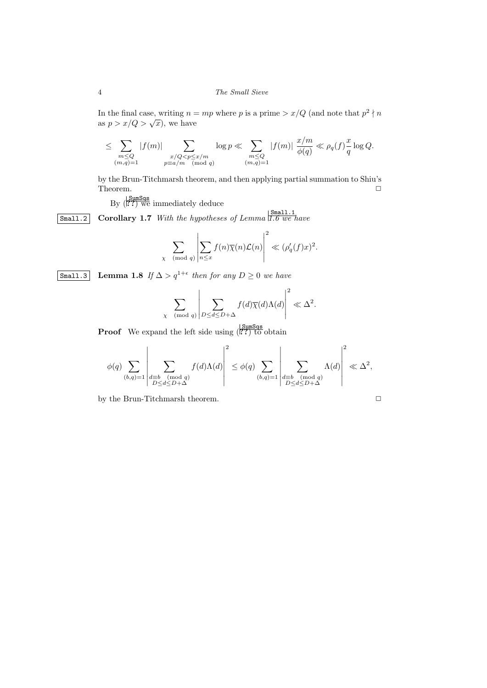## 4 *The Small Sieve*

In the final case, writing  $n = mp$  where p is a prime  $> x/Q$  (and note that  $p^2 \nmid n$ as  $p > x/Q > \sqrt{x}$ , we have

$$
\leq \sum_{\substack{m\leq Q\\(m,q)=1}}|f(m)|\sum_{\substack{x/Q
$$

by the Brun-Titchmarsh theorem, and then applying partial summation to Shiu's Theorem.  $\Box$ 

By (**??**) we immediately deduce

Small.2 **Corollary 1.7** *With the hypotheses of Lemma* Small.1 *1.6 we have*

$$
\sum_{\chi \pmod{q}} \left| \sum_{n \leq x} f(n) \overline{\chi}(n) \mathcal{L}(n) \right|^2 \ll (\rho'_q(f)x)^2.
$$

Small.3 **Lemma 1.8** *If* ∆ *> q*1+*<sup>ϵ</sup> then for any D ≥* 0 *we have*

$$
\sum_{\chi \pmod{q}} \left| \sum_{D \leq d \leq D + \Delta} f(d) \overline{\chi}(d) \Lambda(d) \right|^2 \ll \Delta^2.
$$

**Proof** We expand the left side using  $(\overline{?}^{\text{Sums}})$  to obtain

$$
\phi(q)\sum_{(b,q)=1}\left|\sum_{\substack{d\equiv b\pmod q\\ D\leq d\leq D+\Delta}}f(d)\Lambda(d)\right|^2\leq \phi(q)\sum_{(b,q)=1}\left|\sum_{\substack{d\equiv b\pmod q\\ D\leq d\leq D+\Delta}}\Lambda(d)\right|^2\ll \Delta^2,
$$

by the Brun-Titchmarsh theorem.

$$
\Box
$$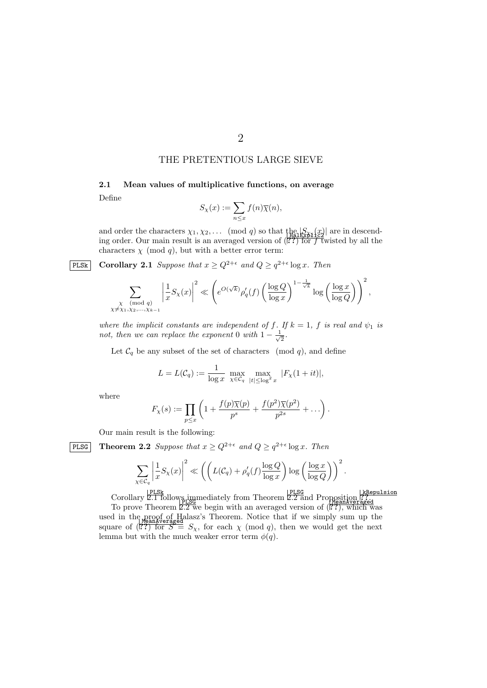# THE PRETENTIOUS LARGE SIEVE

**2.1 Mean values of multiplicative functions, on average** Define

$$
S_{\chi}(x):=\sum_{n\leq x}f(n)\overline{\chi}(n),
$$

and order the characters  $\chi_1, \chi_2, \ldots$  (mod q) so that  $\lim_{\text{H\text{all}}\chi \ge 0} \frac{|S_{\chi_1}(x)|}{\log x}$  are in descending order. Our main result is an averaged version of  $(\mathbb{R}^2)$  for f twisted by all the characters  $\chi$  (mod  $q$ ), but with a better error term:

**PLSk Corollary 2.1** *Suppose that*  $x \ge Q^{2+\epsilon}$  *and*  $Q \ge q^{2+\epsilon} \log x$ *. Then* 

$$
\sum_{\substack{\chi \pmod{q} \\ \chi \neq \chi_1, \chi_2, \ldots, \chi_{k-1}}} \left| \frac{1}{x} S_{\chi}(x) \right|^2 \ll \left( e^{O(\sqrt{k})} \rho_q'(f) \left( \frac{\log Q}{\log x} \right)^{1 - \frac{1}{\sqrt{k}}} \log \left( \frac{\log x}{\log Q} \right) \right)^2,
$$

*where the implicit constants are independent of f. If*  $k = 1$ ,  $f$  *is real and*  $\psi_1$  *is not, then we can replace the exponent* 0 *with*  $1 - \frac{1}{\sqrt{2}}$ 2 *.*

Let  $\mathcal{C}_q$  be any subset of the set of characters (mod  $q$ ), and define

$$
L = L(C_q) := \frac{1}{\log x} \max_{\chi \in C_q} \max_{|t| \le \log^2 x} |F_{\chi}(1 + it)|,
$$

where

$$
F_{\chi}(s) := \prod_{p \leq x} \left( 1 + \frac{f(p)\overline{\chi}(p)}{p^s} + \frac{f(p^2)\overline{\chi}(p^2)}{p^{2s}} + \ldots \right).
$$

Our main result is the following:

**PLSG** Theorem 2.2 *Suppose that*  $x \ge Q^{2+\epsilon}$  *and*  $Q \ge q^{2+\epsilon} \log x$ *. Then* 

$$
\sum_{\chi \in \mathcal{C}_q} \left| \frac{1}{x} S_{\chi}(x) \right|^2 \ll \left( \left( L(\mathcal{C}_q) + \rho_q'(f) \frac{\log Q}{\log x} \right) \log \left( \frac{\log x}{\log Q} \right) \right)^2.
$$

ELSG<br>Corollary 2.1 follows,immediately from Theorem 2.2 and Proposition

For prove Theorem 2.2 we begin with an averaged version of (??), which was used in the proof of Halasz's Theorem. Notice that if we simply sum up the square of  $(\mathbb{R}^2)$  for  $S = S_\chi$ , for each  $\chi \pmod{q}$ , then we would get the next lemma but with the much weaker error term  $\phi(q)$ .

2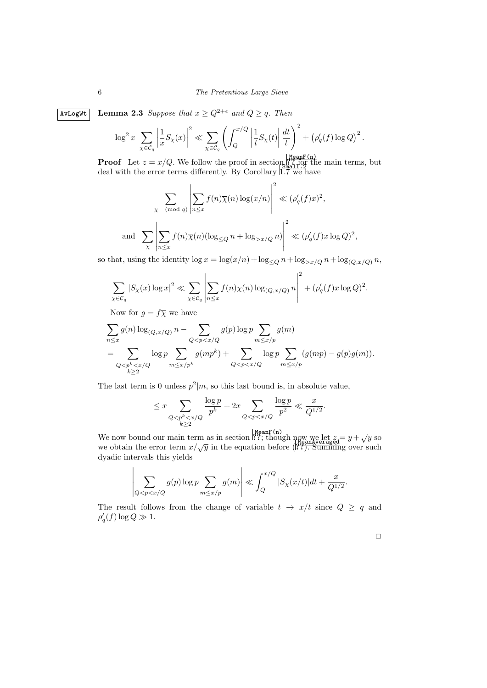### 6 *The Pretentious Large Sieve*

 $\boxed{\text{AvLogWt}}$  **Lemma 2.3** *Suppose that*  $x \geq Q^{2+\epsilon}$  *and*  $Q \geq q$ *. Then* 

$$
\log^2 x \sum_{\chi \in \mathcal{C}_q} \left| \frac{1}{x} S_{\chi}(x) \right|^2 \ll \sum_{\chi \in \mathcal{C}_q} \left( \int_Q^{x/Q} \left| \frac{1}{t} S_{\chi}(t) \right| \frac{dt}{t} \right)^2 + \left( \rho_q'(f) \log Q \right)^2.
$$

**Proof** Let  $z = x/Q$ . We follow the proof in section  $\frac{M \text{ each } F(n)}{2Q}$ , for the main terms, but deal with the error terms differently. By Corollary  $\frac{\sinh 17.9}{1.7}$  we have

$$
\sum_{\chi \pmod{q}} \left| \sum_{n \le x} f(n) \overline{\chi}(n) \log(x/n) \right|^2 \ll (\rho'_q(f)x)^2,
$$
  
and 
$$
\sum_{\chi} \left| \sum_{n \le x} f(n) \overline{\chi}(n) (\log_{\le Q} n + \log_{>x/Q} n) \right|^2 \ll (\rho'_q(f)x \log Q)^2,
$$

so that, using the identity  $\log x = \log(x/n) + \log_{\leq Q} n + \log_{>x/Q} n + \log_{(Q,x/Q)} n$ ,

$$
\sum_{\chi \in \mathcal{C}_q} |S_{\chi}(x) \log x|^2 \ll \sum_{\chi \in \mathcal{C}_q} \left| \sum_{n \leq x} f(n) \overline{\chi}(n) \log_{(Q, x/Q)} n \right|^2 + (\rho'_q(f) x \log Q)^2.
$$

Now for  $g = f\overline{\chi}$  we have

 $\overline{1}$ 

$$
\sum_{n \leq x} g(n) \log_{(Q,x/Q)} n - \sum_{Q < p < x/Q} g(p) \log p \sum_{m \leq x/p} g(m)
$$
\n
$$
= \sum_{Q < p^k < x/Q} \log p \sum_{m \leq x/p^k} g(mp^k) + \sum_{Q < p < x/Q} \log p \sum_{m \leq x/p} (g(mp) - g(p)g(m)).
$$

The last term is 0 unless  $p^2|m$ , so this last bound is, in absolute value,

$$
\leq x \sum_{\substack{Q < p^k < x/Q \\ k \geq 2}} \frac{\log p}{p^k} + 2x \sum_{Q < p < x/Q} \frac{\log p}{p^2} \ll \frac{x}{Q^{1/2}}.
$$

We now bound our main term as in section  $\mathbb{R}^2$ ; though now we let  $z = y + \sqrt{y}$  so we now bound our main term as in section  $\cdots$ , anough  $\frac{W_{\text{Bank}}}{W_{\text{Bank}}}\mathcal{L}$  =  $g + \sqrt{g}$  so we obtain the error term  $x/\sqrt{y}$  in the equation before ( $\mathcal{L}$ ). Summing over such dyadic intervals this yields

$$
\left|\sum_{Q < p < x/Q} g(p) \log p \sum_{m \le x/p} g(m)\right| \ll \int_Q^{x/Q} |S_\chi(x/t)| dt + \frac{x}{Q^{1/2}}.
$$

The result follows from the change of variable  $t \rightarrow x/t$  since  $Q \geq q$  and  $\rho'_q(f) \log Q \gg 1.$ 

 $\Box$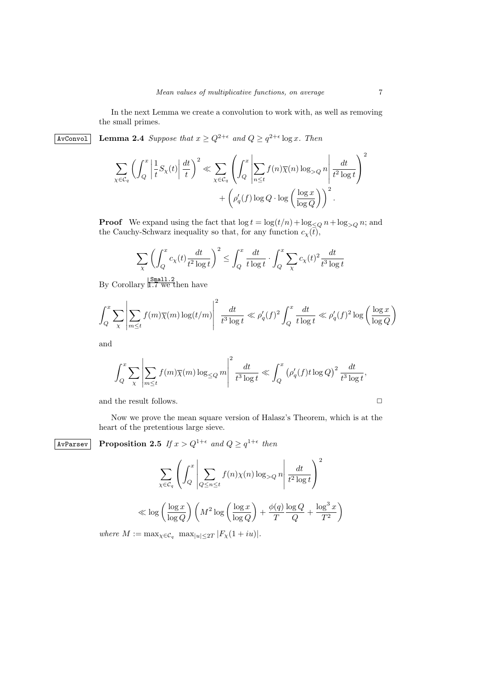In the next Lemma we create a convolution to work with, as well as removing the small primes.

 $\Delta x \sim \Delta x$  **Lemma 2.4** *Suppose that*  $x \ge Q^{2+\epsilon}$  *and*  $Q \ge q^{2+\epsilon} \log x$ *. Then* 

$$
\sum_{\chi \in \mathcal{C}_q} \left( \int_Q^x \left| \frac{1}{t} S_{\chi}(t) \right| \frac{dt}{t} \right)^2 \ll \sum_{\chi \in \mathcal{C}_q} \left( \int_Q^x \left| \sum_{n \le t} f(n) \overline{\chi}(n) \log_{>Q} n \right| \frac{dt}{t^2 \log t} \right)^2
$$

$$
+ \left( \rho_q'(f) \log Q \cdot \log \left( \frac{\log x}{\log Q} \right) \right)^2.
$$

**Proof** We expand using the fact that  $\log t = \log(t/n) + \log_{\leq Q} n + \log_{>Q} n$ ; and the Cauchy-Schwarz inequality so that, for any function  $c_{\chi}(t)$ ,

$$
\sum_{\chi} \left( \int_{Q}^{x} c_{\chi}(t) \frac{dt}{t^2 \log t} \right)^2 \le \int_{Q}^{x} \frac{dt}{t \log t} \cdot \int_{Q}^{x} \sum_{\chi} c_{\chi}(t)^2 \frac{dt}{t^3 \log t}
$$

By Corollary  $\frac{\mid \texttt{Small.2}}{\mid \texttt{I.7}}$  we then have

$$
\int_{Q}^{x} \sum_{\chi} \left| \sum_{m \le t} f(m) \overline{\chi}(m) \log(t/m) \right|^2 \frac{dt}{t^3 \log t} \ll \rho'_q(f)^2 \int_{Q}^{x} \frac{dt}{t \log t} \ll \rho'_q(f)^2 \log \left( \frac{\log x}{\log Q} \right)
$$

and

$$
\int_{Q}^{x} \sum_{\chi} \left| \sum_{m \le t} f(m) \overline{\chi}(m) \log_{\le Q} m \right|^{2} \frac{dt}{t^{3} \log t} \ll \int_{Q}^{x} \left( \rho_{q}'(f) t \log Q \right)^{2} \frac{dt}{t^{3} \log t},
$$

and the result follows.  $\hfill\Box$ 

Now we prove the mean square version of Halasz's Theorem, which is at the heart of the pretentious large sieve.

 $\text{AvParsev}$  **Proposition 2.5** If  $x > Q^{1+\epsilon}$  and  $Q \geq q^{1+\epsilon}$  then

$$
\sum_{\chi \in \mathcal{C}_q} \left( \int_Q x \left| \sum_{Q \le n \le t} f(n) \chi(n) \log_{>Q} n \right| \frac{dt}{t^2 \log t} \right)^2
$$
  

$$
\ll \log \left( \frac{\log x}{\log Q} \right) \left( M^2 \log \left( \frac{\log x}{\log Q} \right) + \frac{\phi(q)}{T} \frac{\log Q}{Q} + \frac{\log^3 x}{T^2} \right)
$$

 $where M := \max_{\chi \in C_q} \max_{|u| \leq 2T} |F_{\chi}(1 + iu)|.$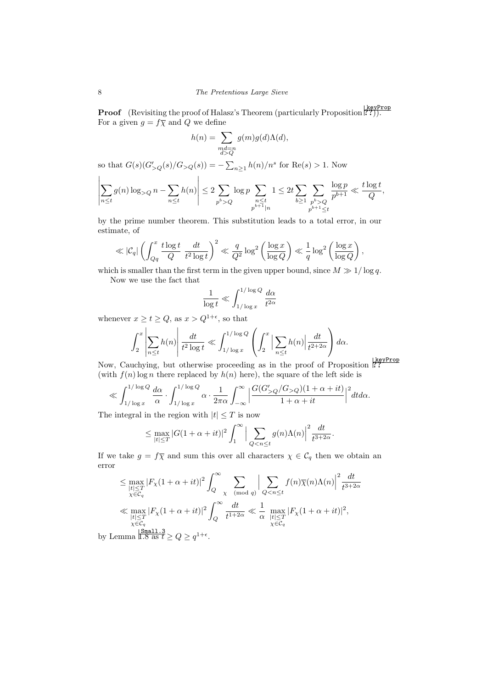**Proof** (Revisiting the proof of Halasz's Theorem (particularly Proposition  $\binom{\text{keyProp}}{\text{?}^2}$ )). For a given  $g = f\overline{\chi}$  and Q we define

$$
h(n) = \sum_{\substack{md=n\\d>Q}} g(m)g(d)\Lambda(d),
$$

so that  $G(s)(G'_{>Q}(s)/G_{>Q}(s)) = -\sum_{n\geq 1} h(n)/n^s$  for  $Re(s) > 1$ . Now

$$
\left| \sum_{n \le t} g(n) \log_{>Q} n - \sum_{n \le t} h(n) \right| \le 2 \sum_{p^b > Q} \log p \sum_{\substack{n \le t \\ p^{b+1} \mid n}} 1 \le 2t \sum_{b \ge 1} \sum_{\substack{p^b > Q \\ p^{b+1} \le t}} \frac{\log p}{p^{b+1}} \ll \frac{t \log t}{Q},
$$

by the prime number theorem. This substitution leads to a total error, in our estimate, of

$$
\ll |\mathcal{C}_q| \left( \int_{Qq}^x \frac{t \log t}{Q} \frac{dt}{t^2 \log t} \right)^2 \ll \frac{q}{Q^2} \log^2 \left( \frac{\log x}{\log Q} \right) \ll \frac{1}{q} \log^2 \left( \frac{\log x}{\log Q} \right),
$$

which is smaller than the first term in the given upper bound, since  $M \gg 1/\log q$ .

Now we use the fact that

$$
\frac{1}{\log t} \ll \int_{1/\log x}^{1/\log Q} \frac{d\alpha}{t^{2\alpha}}
$$

whenever  $x \ge t \ge Q$ , as  $x > Q^{1+\epsilon}$ , so that

$$
\int_2^x \left| \sum_{n \le t} h(n) \right| \frac{dt}{t^2 \log t} \ll \int_{1/\log x}^{1/\log Q} \left( \int_2^x \left| \sum_{n \le t} h(n) \right| \frac{dt}{t^{2+2\alpha}} \right) d\alpha.
$$

Now, Cauchying, but otherwise proceeding as in the proof of Proposition <sup>keyProp</sup> (with  $f(n) \log n$  there replaced by  $h(n)$  here), the square of the left side is

$$
\ll \int_{1/\log x}^{1/\log Q} \frac{d\alpha}{\alpha} \cdot \int_{1/\log x}^{1/\log Q} \alpha \cdot \frac{1}{2\pi \alpha} \int_{-\infty}^{\infty} \Big| \frac{G(G'_{>Q}/G_{>Q})(1+\alpha+it)}{1+\alpha+it} \Big|^2 dt d\alpha.
$$

The integral in the region with  $|t| \leq T$  is now

$$
\leq \max_{|t| \leq T} |G(1+\alpha+it)|^2 \int_1^\infty \Big| \sum_{Q < n \leq t} g(n) \Lambda(n) \Big|^2 \frac{dt}{t^{3+2\alpha}}.
$$

If we take  $g = f\overline{\chi}$  and sum this over all characters  $\chi \in C_q$  then we obtain an error

$$
\leq \max_{\substack{|t| \leq T \\ \chi \in \mathcal{C}_q}} |F_{\chi}(1 + \alpha + it)|^2 \int_{Q}^{\infty} \sum_{\substack{\chi \pmod{q} \\ \chi \in \mathcal{C}_q}} \Big| \sum_{Q < n \leq t} f(n) \overline{\chi}(n) \Lambda(n) \Big|^2 \frac{dt}{t^{3+2\alpha}}
$$
\n
$$
\ll \max_{\substack{|t| \leq T \\ \chi \in \mathcal{C}_q \\ \chi \in \mathcal{C}_q}} |F_{\chi}(1 + \alpha + it)|^2 \int_{Q}^{\infty} \frac{dt}{t^{1+2\alpha}} \ll \frac{1}{\alpha} \max_{\substack{|t| \leq T \\ \chi \in \mathcal{C}_q \\ \chi \in \mathcal{C}_q}} |F_{\chi}(1 + \alpha + it)|^2,
$$
\nmma  $1.8 \text{ as } t \geq Q \geq q^{1+\epsilon}.$ 

by Le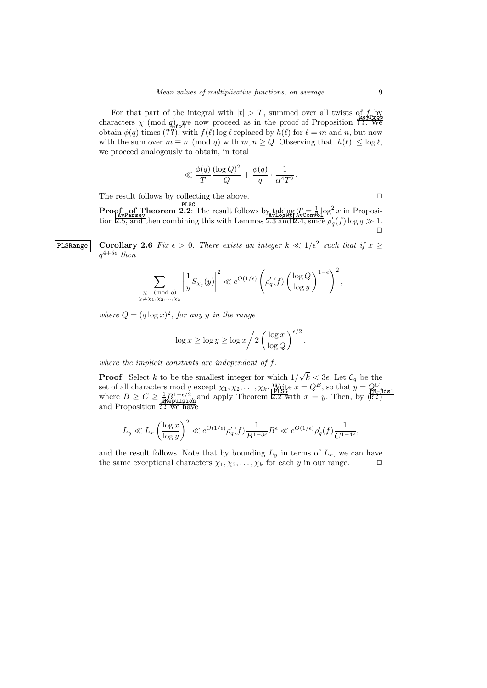For that part of the integral with  $|t| > T$ , summed over all twists of  $f_{\text{p}}$  by characters  $\chi \pmod{q_{\text{max}}^2}$  where  $|v| > 1$ , summed over an ewistom  $\frac{\chi_{\text{top}}^2}{\chi_{\text{min}}}$ <br>characters  $\chi \pmod{q_{\text{max}}}$  we now proceed as in the proof of Proposition 177. We<br>obtain  $\phi(q)$  times (177), with  $f(\ell)$  log  $\ell$ with the sum over  $m \equiv n \pmod{q}$  with  $m, n \ge Q$ . Observing that  $|h(\ell)| \le \log \ell$ , we proceed analogously to obtain, in total

$$
\ll \frac{\phi(q)}{T} \frac{(\log Q)^2}{Q} + \frac{\phi(q)}{q} \cdot \frac{1}{\alpha^4 T^2}.
$$

The result follows by collecting the above.  $\Box$ 

**Proof**  $\max_{\mathbf{A}\mathbf{v}_{\mathbf{A}}\mathbf{v}_{\mathbf{A}}\mathbf{v}_{\mathbf{A}}\mathbf{z}}$  [PLSG] The result follows by taking  $T = \frac{1}{2} \log^2 x$  in Proposi- $\frac{V_{A}P_{B}^{\text{max}}}{V_{A}P_{B}^{\text{max}}}$  (*t* = *α*) convolution 2.5, and then combining this with Lemmas 2.3 and 2.4, since *ρ*<sup> $\alpha$ </sup> (*f*) log *q*  $\gg$  1.  $\Box$ 

**PLSRange Corollary 2.6** *Fix*  $\epsilon > 0$ . There exists an integer  $k \ll 1/\epsilon^2$  such that if  $x \ge$  $q^{4+5\epsilon}$  then

$$
\sum_{\substack{\chi \pmod{q} \\ \neq \chi_1, \chi_2, \dots, \chi_k}} \left| \frac{1}{y} S_{\chi_j}(y) \right|^2 \ll e^{O(1/\epsilon)} \left( \rho_q'(f) \left( \frac{\log Q}{\log y} \right)^{1-\epsilon} \right)^2,
$$

where  $Q = (q \log x)^2$ , for any *y* in the range

*χ̸*=*χ*1*,χ*2*,...,χ<sup>k</sup>*

$$
\log x \ge \log y \ge \log x / 2 \left( \frac{\log x}{\log Q} \right)^{\epsilon/2},
$$

*where the implicit constants are independent of f.*

**Proof** Select *k* to be the smallest integer for which 1*/ √*  $k < 3\epsilon$ . Let  $\mathcal{C}_q$  be the set of all characters mod *q* except  $\chi_1, \chi_2, \ldots, \chi_k$ . Write  $x = Q^B$ , so that  $y = Q_{\text{M-L}}^C$ where  $B \ge C \ge \frac{1}{18} B^{-\epsilon/2}$ , and apply Theorem 2.2 with  $x = y$ . Then, by (17) and Proposition ?? we have

$$
L_y \ll L_x \left(\frac{\log x}{\log y}\right)^2 \ll e^{O(1/\epsilon)} \rho_q'(f) \frac{1}{B^{1-3\epsilon}} B^\epsilon \ll e^{O(1/\epsilon)} \rho_q'(f) \frac{1}{C^{1-4\epsilon}},
$$

and the result follows. Note that by bounding  $L_y$  in terms of  $L_x$ , we can have the same exceptional characters  $\chi_1, \chi_2, \ldots, \chi_k$  for each *y* in our range.  $\Box$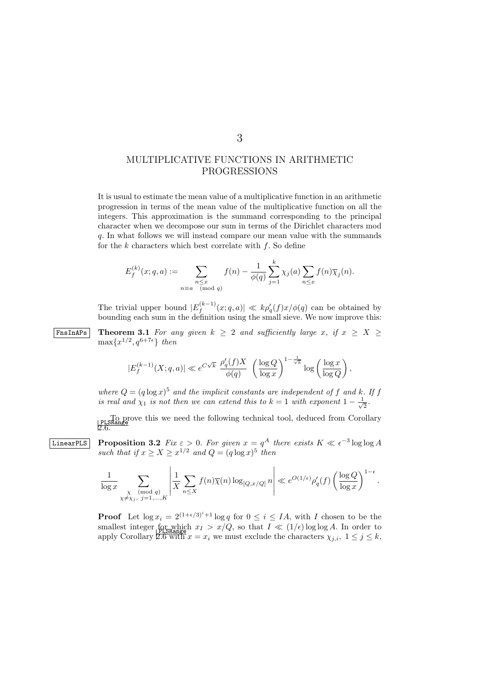# MULTIPLICATIVE FUNCTIONS IN ARITHMETIC PROGRESSIONS

It is usual to estimate the mean value of a multiplicative function in an arithmetic progression in terms of the mean value of the multiplicative function on all the integers. This approximation is the summand corresponding to the principal character when we decompose our sum in terms of the Dirichlet characters mod *q*. In what follows we will instead compare our mean value with the summands for the *k* characters which best correlate with *f*. So define

$$
E_f^{(k)}(x;q,a) := \sum_{\substack{n \leq x \\ n \equiv a \pmod{q}}} f(n) - \frac{1}{\phi(q)} \sum_{j=1}^k \chi_j(a) \sum_{n \leq x} f(n) \overline{\chi}_j(n).
$$

The trivial upper bound  $|E_f^{(k-1)}(x;q,a)| \ll k\rho'_q(f)x/\phi(q)$  can be obtained by bounding each sum in the definition using the small sieve. We now improve this:

**F**nsInAPs Theorem 3.1 For any given  $k \geq 2$  and sufficiently large *x*, if  $x \geq X \geq 2$  $\max\{x^{1/2}, q^{6+7\epsilon}\}\$  *then* 

$$
|E_f^{(k-1)}(X;q,a)| \ll e^{C\sqrt{k}}\ \frac{\rho_q'(f)X}{\phi(q)}\ \left(\frac{\log Q}{\log x}\right)^{1-\frac{1}{\sqrt{k}}}\log\left(\frac{\log x}{\log Q}\right)
$$

*,*

where  $Q = (q \log x)^5$  and the implicit constants are independent of f and k. If f *is real and*  $\chi_1$  *is not then we can extend this to*  $k = 1$  *with exponent*  $1 - \frac{1}{\sqrt{2}}$ .  $\overline{2}$ 

To prove this we need the following technical tool, deduced from Corollary 2.6.

 $\Box$  **Proposition 3.2**  $Fix\ \varepsilon > 0$ . For given  $x = q^A$  there exists  $K\ll \epsilon^{-3}\log\log A$ *such that if*  $x \ge X \ge x^{1/2}$  *and*  $Q = (q \log x)^5$  *then* 

$$
\frac{1}{\log x} \sum_{\substack{\chi \text{ (mod } q) \\ \chi \neq \chi_j, \ j = 1, \dots, K}} \left| \frac{1}{X} \sum_{n \le X} f(n) \overline{\chi}(n) \log_{[Q, x/Q]} n \right| \ll e^{O(1/\epsilon)} \rho_q'(f) \left( \frac{\log Q}{\log x} \right)^{1-\epsilon}.
$$

**Proof** Let  $\log x_i = 2^{(1+\epsilon/3)^i+1} \log q$  for  $0 \leq i \leq IA$ , with *I* chosen to be the smallest integer for which  $x_I > x/Q$ , so that  $I \ll (1/\epsilon) \log \log A$ . In order to apply Corollary  $2.6$  with  $x = x_i$  we must exclude the characters  $\chi_{j,i}$ ,  $1 \leq j \leq k$ ,

3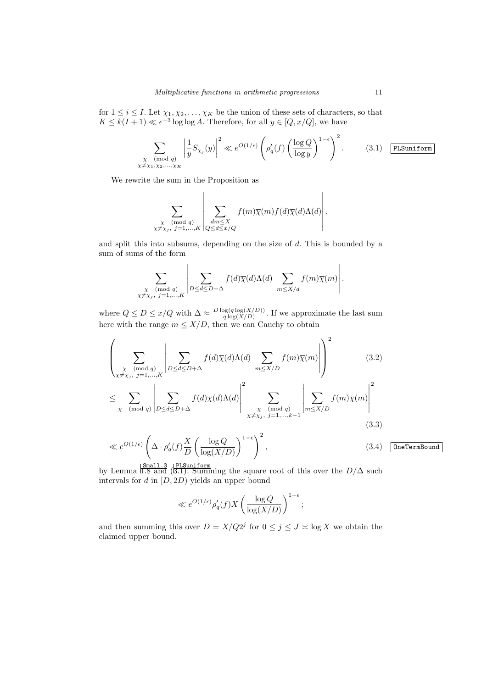for  $1 \leq i \leq I$ . Let  $\chi_1, \chi_2, \ldots, \chi_K$  be the union of these sets of characters, so that  $K \leq k(I+1) \ll \epsilon^{-3} \log \log A$ . Therefore, for all  $y \in [Q, x/Q]$ , we have

$$
\sum_{\substack{\chi \pmod{q} \\ \chi \neq \chi_1, \chi_2, \ldots, \chi_K}} \left| \frac{1}{y} S_{\chi_j}(y) \right|^2 \ll e^{O(1/\epsilon)} \left( \rho_q'(f) \left( \frac{\log Q}{\log y} \right)^{1-\epsilon} \right)^2. \tag{3.1} \quad \text{[PLSuniform]}
$$

We rewrite the sum in the Proposition as

 $\overline{1}$ 

$$
\sum_{\substack{\chi \pmod{q} \\ \chi \neq \chi_j, \ j=1,\ldots,K}} \left| \sum_{\substack{dm \leq \chi \\ Q \leq d \leq x/Q}} f(m) \overline{\chi}(m) f(d) \overline{\chi}(d) \Lambda(d) \right|,
$$

and split this into subsums, depending on the size of *d*. This is bounded by a sum of sums of the form

$$
\sum_{\substack{\chi \text{ (mod } q) \\ \chi \neq \chi_j, \ j=1,\dots,K}} \left| \sum_{D \leq d \leq D+\Delta} f(d) \overline{\chi}(d) \Lambda(d) \sum_{m \leq X/d} f(m) \overline{\chi}(m) \right|.
$$

where  $Q \leq D \leq x/Q$  with  $\Delta \approx \frac{D \log(q \log(X/D))}{q \log(X/D)}$  $q \log(q \log(X/D))$ . If we approximate the last sum here with the range  $m \leq X/D$ , then we can Cauchy to obtain

$$
\left(\sum_{\substack{\chi \pmod{q} \\ \chi \neq \chi_j, \ j=1,\dots,K}} \left| \sum_{D \leq d \leq D+\Delta} f(d) \overline{\chi}(d) \Lambda(d) \sum_{m \leq X/D} f(m) \overline{\chi}(m) \right| \right)^2 \tag{3.2}
$$
\n
$$
\leq \sum_{\chi \pmod{q}} \left| \sum_{D \leq d \leq D+\Delta} f(d) \overline{\chi}(d) \Lambda(d) \right|^2 \sum_{\substack{\chi \pmod{q} \\ \chi \neq \chi_j, \ j=1,\dots,k-1}} \left| \sum_{m \leq X/D} f(m) \overline{\chi}(m) \right|^2 \tag{3.3}
$$
\n
$$
\ll e^{O(1/\epsilon)} \left( \Delta \cdot \rho_q'(f) \frac{X}{D} \left( \frac{\log Q}{\log(X/D)} \right)^{1-\epsilon} \right)^2, \tag{3.4}
$$

by Lemma  $\frac{\text{Small.3}}{\text{I.8 and}}$  (3.1). Summing the square root of this over the *D*/ $\Delta$  such intervals for *d* in [*D,* 2*D*) yields an upper bound

$$
\ll e^{O(1/\epsilon)} \rho_q'(f) X \left( \frac{\log Q}{\log (X/D)} \right)^{1-\epsilon};
$$

and then summing this over  $D = X/Q2^j$  for  $0 \le j \le J \times \log X$  we obtain the claimed upper bound.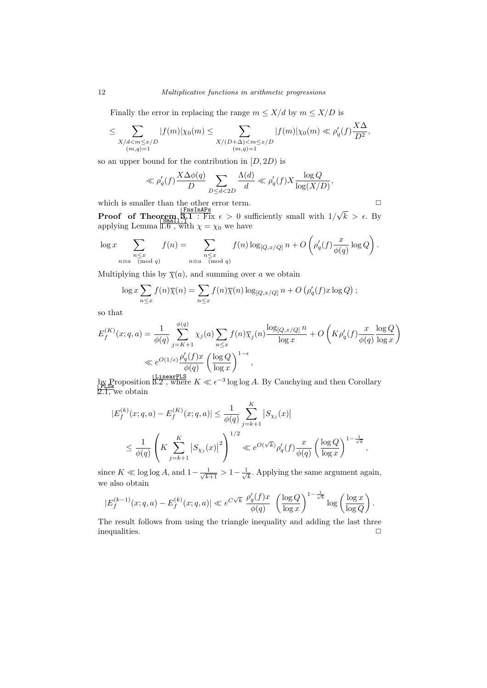## 12 *Multiplicative functions in arithmetic progressions*

Finally the error in replacing the range  $m \leq X/d$  by  $m \leq X/D$  is

$$
\leq \sum_{\substack{X/d < m \leq x/D \\ (m,q)=1}} |f(m)| \chi_0(m) \leq \sum_{\substack{X/(D+\Delta) < m \leq x/D \\ (m,q)=1}} |f(m)| \chi_0(m) \ll \rho'_q(f) \frac{X \Delta}{D^2},
$$

so an upper bound for the contribution in  $[D, 2D)$  is

$$
\ll \rho'_q(f) \frac{X \Delta \phi(q)}{D} \sum_{D \le d < 2D} \frac{\Lambda(d)}{d} \ll \rho'_q(f) X \frac{\log Q}{\log(X/D)},
$$

which is smaller than the other error term.  $\hfill\Box$ 

**Proof** of Theorem  $3.1$  : Fix  $\epsilon > 0$  sufficiently small with  $1/$ *√*  $k > \epsilon$ . By applying Lemma  $1.6$ , with  $\chi = \chi_0$  we have

$$
\log x \sum_{\substack{n \le x \\ n \equiv a \pmod{q}}} f(n) = \sum_{\substack{n \le x \\ n \equiv a \pmod{q}}} f(n) \log_{[Q, x/Q]} n + O\left(\rho'_q(f) \frac{x}{\phi(q)} \log Q\right).
$$

Multiplying this by  $\overline{\chi}(a)$ , and summing over *a* we obtain

$$
\log x \sum_{n \leq x} f(n) \overline{\chi}(n) = \sum_{n \leq x} f(n) \overline{\chi}(n) \log_{[Q, x/Q]} n + O\left(\rho'_q(f) x \log Q\right);
$$

so that

$$
E_f^{(K)}(x;q,a) = \frac{1}{\phi(q)} \sum_{j=K+1}^{\phi(q)} \chi_j(a) \sum_{n \le x} f(n) \overline{\chi}_j(n) \frac{\log_{[Q,x/Q]} n}{\log x} + O\left(K \rho'_q(f) \frac{x}{\phi(q)} \frac{\log Q}{\log x}\right)
$$
  

$$
\ll e^{O(1/\epsilon)} \frac{\rho'_q(f)x}{\phi(q)} \left(\frac{\log Q}{\log x}\right)^{1-\epsilon},
$$

by Proposition  $3.2$ , where  $K \ll \epsilon^{-3}$  log log *A*. By Cauchying and then Corollary 2.1, we obtain

$$
|E_f^{(k)}(x;q,a) - E_f^{(K)}(x;q,a)| \le \frac{1}{\phi(q)} \sum_{j=k+1}^K |S_{\chi_j}(x)|
$$
  

$$
\le \frac{1}{\phi(q)} \left( K \sum_{j=k+1}^K |S_{\chi_j}(x)|^2 \right)^{1/2} \ll e^{O(\sqrt{k})} \rho_q'(f) \frac{x}{\phi(q)} \left( \frac{\log Q}{\log x} \right)^{1-\frac{1}{\sqrt{k}}},
$$

since  $K \ll \log \log A$ , and  $1 - \frac{1}{\sqrt{k+1}} > 1 - \frac{1}{\sqrt{k+1}}$  $\frac{1}{k}$ . Applying the same argument again, we also obtain

$$
|E_f^{(k-1)}(x;q,a)-E_f^{(k)}(x;q,a)| \ll e^{C\sqrt{k}} \frac{\rho'_q(f)x}{\phi(q)} \left(\frac{\log Q}{\log x}\right)^{1-\frac{1}{\sqrt{k}}}\log\left(\frac{\log x}{\log Q}\right).
$$

The result follows from using the triangle inequality and adding the last three inequalities.  $\Box$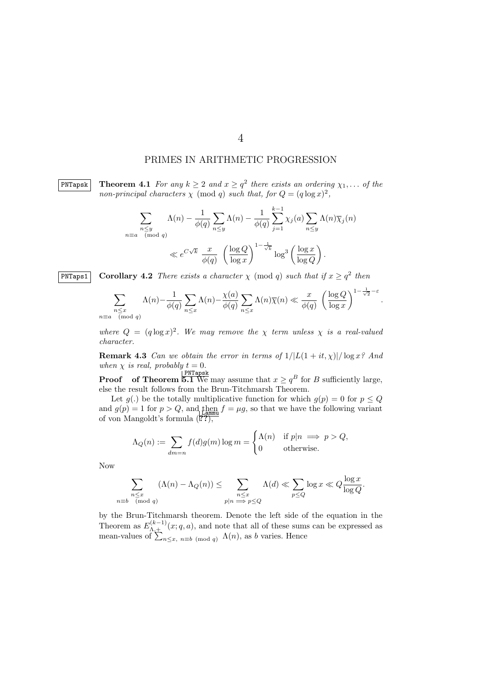# PRIMES IN ARITHMETIC PROGRESSION

4

 $\begin{array}{|c|c|c|c|c|c|}\hline \textbf{PNTapsk} & \textbf{Theorem 4.1} \ \textit{For any $k \geq 2$ and $x \geq q^2$ there exists an ordering $\chi_1, \ldots$ of the $k$-axis of $k$-axis.} \hline \end{array}$ *non-principal characters*  $\chi$  (mod *q*) *such that, for*  $Q = (q \log x)^2$ ,

$$
\sum_{\substack{n \le y \\ n \equiv a \pmod{q}}} \Lambda(n) - \frac{1}{\phi(q)} \sum_{n \le y} \Lambda(n) - \frac{1}{\phi(q)} \sum_{j=1}^{k-1} \chi_j(a) \sum_{n \le y} \Lambda(n) \overline{\chi}_j(n)
$$
  
\$\ll e^{C\sqrt{k}} \frac{x}{\phi(q)} \left( \frac{\log Q}{\log x} \right)^{1 - \frac{1}{\sqrt{k}}} \log^3 \left( \frac{\log x}{\log Q} \right).

**PNTaps1 Corollary 4.2** *There exists a character*  $\chi$  (mod *q*) *such that* if  $x \geq q^2$  *then* 

$$
\sum_{\substack{n \le x \\ n \equiv a \pmod{q}}} \Lambda(n) - \frac{1}{\phi(q)} \sum_{n \le x} \Lambda(n) - \frac{\chi(a)}{\phi(q)} \sum_{n \le x} \Lambda(n) \overline{\chi}(n) \ll \frac{x}{\phi(q)} \left(\frac{\log Q}{\log x}\right)^{1 - \frac{1}{\sqrt{2}} - \varepsilon}
$$

*.*

where  $Q = (q \log x)^2$ . We may remove the  $\chi$  *term unless*  $\chi$  *is a real-valued character.*

**Remark 4.3** *Can we obtain the error in terms of*  $1/|L(1 + it, \chi)|/\log x$ ? *And when*  $\chi$  *is real, probably*  $t = 0$ *.* 

**Proof** of Theorem 5.1 We may assume that  $x \ge q^B$  for *B* sufficiently large, else the result follows from the Brun-Titchmarsh Theorem.

Let  $g(.)$  be the totally multiplicative function for which  $g(p) = 0$  for  $p \leq Q$ and  $g(p) = 1$  for  $p > Q$ , and then  $f = \mu g$ , so that we have the following variant of von Mangoldt's formula (*1*??),

$$
\Lambda_Q(n) := \sum_{dm=n} f(d)g(m) \log m = \begin{cases} \Lambda(n) & \text{if } p|n \implies p > Q, \\ 0 & \text{otherwise.} \end{cases}
$$

Now

$$
\sum_{\substack{n \le x \\ n \equiv b \pmod{q}}} (\Lambda(n) - \Lambda_Q(n)) \le \sum_{\substack{n \le x \\ p | n \implies p \le Q}} \Lambda(d) \ll \sum_{p \le Q} \log x \ll Q \frac{\log x}{\log Q}.
$$

by the Brun-Titchmarsh theorem. Denote the left side of the equation in the Theorem as  $E_{\Lambda,+}^{(k-1)}(x;q,a)$ , and note that all of these sums can be expressed as mean-values of  $\sum_{n \leq x, n \equiv b \pmod{q}} \Lambda(n)$ , as *b* varies. Hence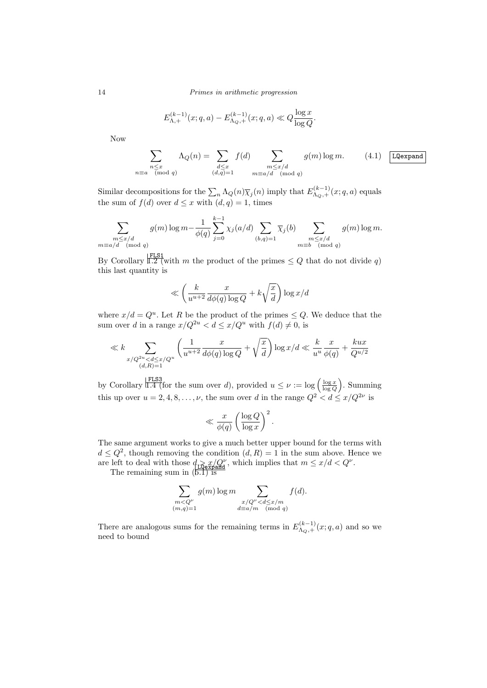14 *Primes in arithmetic progression*

$$
E_{\Lambda,+}^{(k-1)}(x;q,a) - E_{\Lambda_Q,+}^{(k-1)}(x;q,a) \ll Q \frac{\log x}{\log Q}.
$$

Now

$$
\sum_{\substack{n \le x \\ n \equiv a \pmod{q}}} \Lambda_Q(n) = \sum_{\substack{d \le x \\ (d,q)=1}} f(d) \sum_{\substack{m \le x/d \\ m \equiv a/d \pmod{q}}} g(m) \log m. \tag{4.1} \boxed{\text{LQexpand}}
$$

Similar decompositions for the  $\sum_n \Lambda_Q(n) \overline{\chi}_j(n)$  imply that  $E_{\Lambda_Q,+}^{(k-1)}(x;q,a)$  equals the sum of  $f(d)$  over  $d \leq x$  with  $(d, q) = 1$ , times

$$
\sum_{\substack{m \le x/d \\ m \equiv a/d \pmod{q}}} g(m) \log m - \frac{1}{\phi(q)} \sum_{j=0}^{k-1} \chi_j(a/d) \sum_{(b,q)=1} \overline{\chi}_j(b) \sum_{\substack{m \le x/d \\ m \equiv b \pmod{q}}} g(m) \log m.
$$

By Corollary  $\frac{FLS1}{1.2}$  (with *m* the product of the primes  $\leq Q$  that do not divide *q*) this last quantity is

$$
\ll \left(\frac{k}{u^{u+2}}\frac{x}{d\phi(q)\log Q} + k\sqrt{\frac{x}{d}}\right)\log x/d
$$

where  $x/d = Q^u$ . Let R be the product of the primes  $\leq Q$ . We deduce that the sum over *d* in a range  $x/Q^{2u} < d \leq x/Q^u$  with  $f(d) \neq 0$ , is

$$
\ll k \sum_{\substack{x/Q^{2u} < d \leq x/Q^u\\(d,R)=1}} \left( \frac{1}{u^{u+2}} \frac{x}{d\phi(q) \log Q} + \sqrt{\frac{x}{d}} \right) \log x/d \ll \frac{k}{u^u} \frac{x}{\phi(q)} + \frac{kux}{Q^{u/2}}
$$

by Corollary  $\vert \frac{\text{FLS3}}{\text{L4}}$  (for the sum over *d*), provided  $u \leq \nu := \log \left( \frac{\log x}{\log Q} \right)$ . Summing this up over  $u = 2, 4, 8, \ldots, \nu$ , the sum over *d* in the range  $Q^2 < d \leq x/Q^{2\nu}$  is

$$
\ll \frac{x}{\phi(q)} \left(\frac{\log Q}{\log x}\right)^2.
$$

The same argument works to give a much better upper bound for the terms with  $d \leq Q^2$ , though removing the condition  $(d, R) = 1$  in the sum above. Hence we are left to deal with those  $d_{\text{LQexpand}} x/Q^{\nu}$ , which implies that  $m \leq x/d < Q^{\nu}$ .<br>The remaining sum in (5.1) is

$$
\sum_{\substack{m
$$

There are analogous sums for the remaining terms in  $E_{\Lambda_Q, +}^{(k-1)}(x; q, a)$  and so we need to bound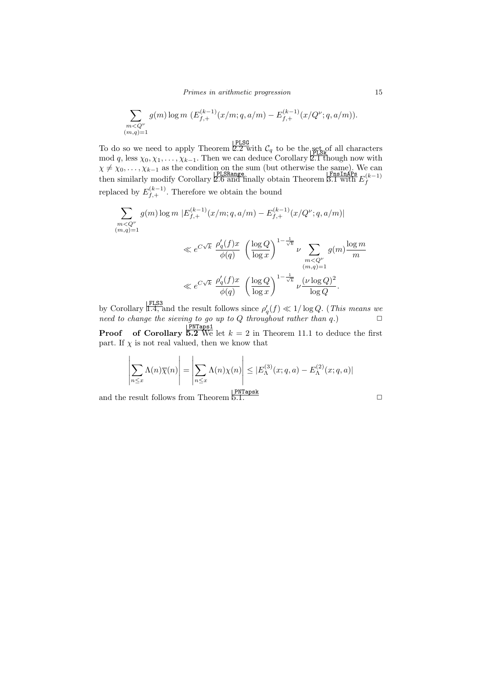$$
\sum_{\substack{m
$$

To do so we need to apply Theorem  $\frac{\text{PLSG}}{2.2}$  with  $\mathcal{C}_q$  to be the set of all characters mod *q*, less  $\chi_0, \chi_1, \ldots, \chi_{k-1}$ . Then we can deduce Corollary 2.1 though now with  $\chi \neq \chi_0, \ldots, \chi_{k-1}$  as the condition on the sum (but otherwise the same). We can **EXAMPLE 12.6 and finally obtain Theorem** 3.1 with  $E_f^{(k-1)}$  then similarly modify Corollary 2.6 and finally obtain Theorem 3.1 with  $E_f^{(k-1)}$ replaced by  $E_{f,+}^{(k-1)}$ . Therefore we obtain the bound

$$
\sum_{\substack{m  
$\ll e^{C\sqrt{k}} \frac{\rho_q'(f)x}{\phi(q)} \left( \frac{\log Q}{\log x} \right)^{1-\frac{1}{\sqrt{k}}} \nu \sum_{\substack{m$\ll e^{C\sqrt{k}} \frac{\rho_q'(f)x}{\phi(q)} \left( \frac{\log Q}{\log x} \right)^{1-\frac{1}{\sqrt{k}}} \nu \frac{(\nu \log Q)^2}{\log Q}.
$$

by Corollary  $\vert \frac{\text{FLS3}}{\text{L.4, and the result follows since } \rho'_q(f) \ll 1/\log Q$ . (*This means we need to change the sieving to go up to*  $Q$  *throughout rather than*  $q$ *.*)  $\Box$ 

**Proof** of Corollary  $\frac{PNTaps1}{5.2 \text{ We let } k = 2 \text{ in Theorem 11.1 to deduce the first}$ part. If  $\chi$  is not real valued, then we know that

$$
\left|\sum_{n\leq x}\Lambda(n)\overline{\chi}(n)\right| = \left|\sum_{n\leq x}\Lambda(n)\chi(n)\right| \leq |E_{\Lambda}^{(3)}(x;q,a) - E_{\Lambda}^{(2)}(x;q,a)|
$$

and the result follows from Theorem  $5.1$ .  $\Box$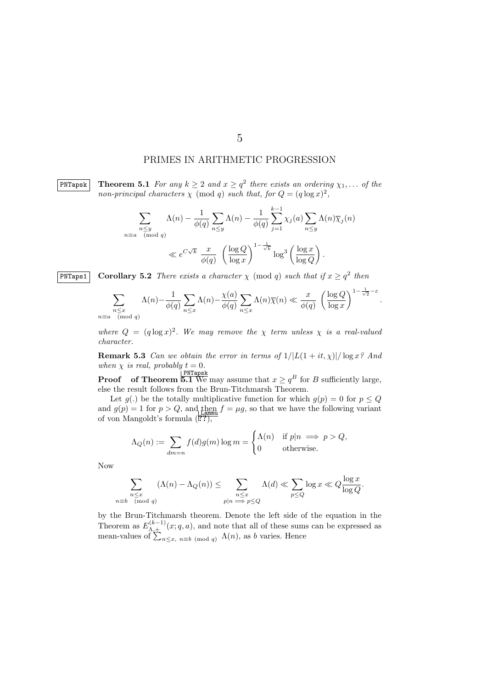## PRIMES IN ARITHMETIC PROGRESSION

 $\boxed{\text{PNTapsk}}$  **Theorem 5.1** For any  $k \geq 2$  and  $x \geq q^2$  there exists an ordering  $\chi_1, \ldots$  of the *non-principal characters*  $\chi$  (mod *q*) *such that, for*  $Q = (q \log x)^2$ ,

$$
\sum_{\substack{n \le y \\ n \equiv a \pmod{q}}} \Lambda(n) - \frac{1}{\phi(q)} \sum_{n \le y} \Lambda(n) - \frac{1}{\phi(q)} \sum_{j=1}^{k-1} \chi_j(a) \sum_{n \le y} \Lambda(n) \overline{\chi}_j(n)
$$
  
\$\ll e^{C\sqrt{k}} \frac{x}{\phi(q)} \left( \frac{\log Q}{\log x} \right)^{1 - \frac{1}{\sqrt{k}}} \log^3 \left( \frac{\log x}{\log Q} \right).

**PNTaps1 Corollary 5.2** *There exists a character*  $\chi$  (mod *q*) *such that* if  $x \geq q^2$  *then* 

$$
\sum_{\substack{n \le x \\ n \equiv a \pmod{q}}} \Lambda(n) - \frac{1}{\phi(q)} \sum_{n \le x} \Lambda(n) - \frac{\chi(a)}{\phi(q)} \sum_{n \le x} \Lambda(n) \overline{\chi}(n) \ll \frac{x}{\phi(q)} \left(\frac{\log Q}{\log x}\right)^{1 - \frac{1}{\sqrt{2}} - \varepsilon}
$$

*.*

where  $Q = (q \log x)^2$ . We may remove the  $\chi$  *term unless*  $\chi$  *is a real-valued character.*

**Remark 5.3** *Can we obtain the error in terms of*  $1/|L(1 + it, \chi)|/\log x$ ? *And when*  $\chi$  *is real, probably*  $t = 0$ *.* 

**Proof** of Theorem 5.1 We may assume that  $x \ge q^B$  for *B* sufficiently large, else the result follows from the Brun-Titchmarsh Theorem.

Let  $g(.)$  be the totally multiplicative function for which  $g(p) = 0$  for  $p \leq Q$ and  $g(p) = 1$  for  $p > Q$ , and then  $f = \mu g$ , so that we have the following variant of von Mangoldt's formula (*1*??),

$$
\Lambda_Q(n) := \sum_{dm=n} f(d)g(m) \log m = \begin{cases} \Lambda(n) & \text{if } p|n \implies p > Q, \\ 0 & \text{otherwise.} \end{cases}
$$

Now

$$
\sum_{\substack{n \le x \\ n \equiv b \pmod{q}}} (\Lambda(n) - \Lambda_Q(n)) \le \sum_{\substack{n \le x \\ p | n \implies p \le Q}} \Lambda(d) \ll \sum_{p \le Q} \log x \ll Q \frac{\log x}{\log Q}.
$$

by the Brun-Titchmarsh theorem. Denote the left side of the equation in the Theorem as  $E_{\Lambda,+}^{(k-1)}(x;q,a)$ , and note that all of these sums can be expressed as mean-values of  $\sum_{n \leq x, n \equiv b \pmod{q}} \Lambda(n)$ , as *b* varies. Hence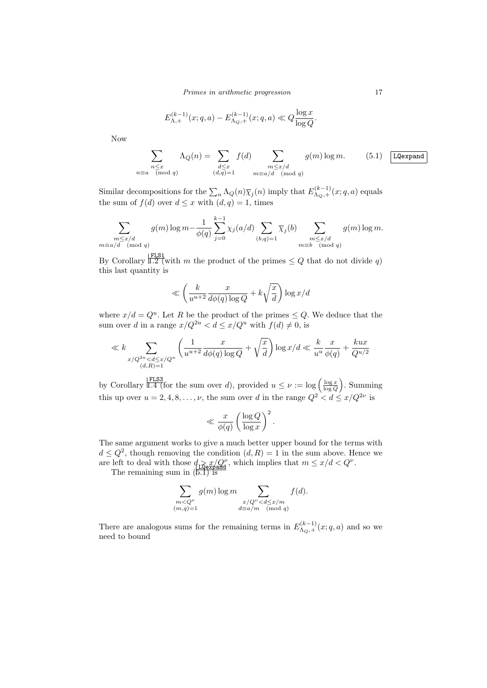*Primes in arithmetic progression* 17

$$
E_{\Lambda,+}^{(k-1)}(x;q,a) - E_{\Lambda_Q,+}^{(k-1)}(x;q,a) \ll Q \frac{\log x}{\log Q}.
$$

Now

$$
\sum_{\substack{n \le x \\ n \equiv a \pmod{q}}} \Lambda_Q(n) = \sum_{\substack{d \le x \\ (d,q)=1}} f(d) \sum_{\substack{m \le x/d \\ m \equiv a/d \pmod{q}}} g(m) \log m. \tag{5.1} \boxed{\text{LQexpand}}
$$

Similar decompositions for the  $\sum_n \Lambda_Q(n) \overline{\chi}_j(n)$  imply that  $E_{\Lambda_Q,+}^{(k-1)}(x;q,a)$  equals the sum of  $f(d)$  over  $d \leq x$  with  $(d, q) = 1$ , times

$$
\sum_{\substack{m \le x/d \\ m \equiv a/d \pmod{q}}} g(m) \log m - \frac{1}{\phi(q)} \sum_{j=0}^{k-1} \chi_j(a/d) \sum_{(b,q)=1} \overline{\chi}_j(b) \sum_{\substack{m \le x/d \\ m \equiv b \pmod{q}}} g(m) \log m.
$$

By Corollary  $\sqrt{\frac{FLS1}{1.2}}$  (with *m* the product of the primes  $\leq Q$  that do not divide *q*) this last quantity is

$$
\ll \left(\frac{k}{u^{u+2}}\frac{x}{d\phi(q)\log Q} + k\sqrt{\frac{x}{d}}\right)\log x/d
$$

where  $x/d = Q^u$ . Let R be the product of the primes  $\leq Q$ . We deduce that the sum over *d* in a range  $x/Q^{2u} < d \le x/Q^u$  with  $f(d) \ne 0$ , is

$$
\ll k \sum_{\substack{x/Q^{2u} < d \leq x/Q^u \\ (d, R) = 1}} \left( \frac{1}{u^{u+2}} \frac{x}{d\phi(q) \log Q} + \sqrt{\frac{x}{d}} \right) \log x/d \ll \frac{k}{u^u} \frac{x}{\phi(q)} + \frac{kux}{Q^{u/2}}
$$

by Corollary  $\vert \frac{\text{FLS3}}{\text{L4}}$  (for the sum over *d*), provided  $u \leq \nu := \log \left( \frac{\log x}{\log Q} \right)$ . Summing this up over  $u = 2, 4, 8, \ldots, \nu$ , the sum over *d* in the range  $Q^2 < d \leq x/Q^{2\nu}$  is

$$
\ll \frac{x}{\phi(q)} \left(\frac{\log Q}{\log x}\right)^2.
$$

The same argument works to give a much better upper bound for the terms with  $d \leq Q^2$ , though removing the condition  $(d, R) = 1$  in the sum above. Hence we are left to deal with those  $d_{\text{LQexpand}} x/Q^{\nu}$ , which implies that  $m \leq x/d < Q^{\nu}$ .<br>The remaining sum in (5.1) is

$$
\sum_{\substack{m
$$

There are analogous sums for the remaining terms in  $E_{\Lambda_Q,+}^{(k-1)}(x;q,a)$  and so we need to bound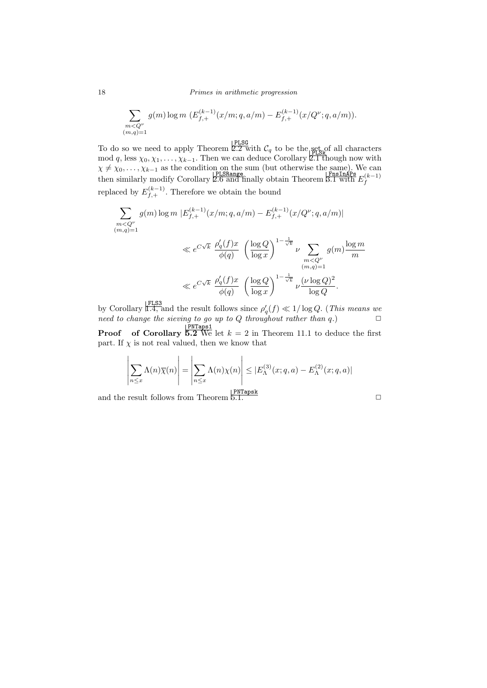18 *Primes in arithmetic progression*

$$
\sum_{\substack{m
$$

To do so we need to apply Theorem  $\frac{\text{PLSG}}{2.2 \text{ with }} C_q$  to be the set of all characters mod *q*, less  $\chi_0, \chi_1, \ldots, \chi_{k-1}$ . Then we can deduce Corollary 2.1 though now with  $\chi \neq \chi_0, \ldots, \chi_{k-1}$  as the condition on the sum (but otherwise the same). We can **EXAMPLE EXAMPLE EXAMPLE PLSRange**<br>
then similarly modify Corollary 2.6 and finally obtain Theorem 3.1 with  $E_f^{(k-1)}$ replaced by  $E_{f,+}^{(k-1)}$ . Therefore we obtain the bound

$$
\sum_{\substack{m < Q^{\nu} \\ (m,q)=1}} g(m) \log m \left| E_{f,+}^{(k-1)}(x/m; q, a/m) - E_{f,+}^{(k-1)}(x/Q^{\nu}; q, a/m) \right|
$$
  

$$
\ll e^{C\sqrt{k}} \frac{\rho_q'(f)x}{\phi(q)} \left( \frac{\log Q}{\log x} \right)^{1 - \frac{1}{\sqrt{k}}} \nu \sum_{\substack{m < Q^{\nu} \\ (m,q)=1}} g(m) \frac{\log m}{m}
$$

$$
\ll e^{C\sqrt{k}} \frac{\rho_q'(f)x}{\phi(q)} \left(\frac{\log Q}{\log x}\right)^{1-\frac{1}{\sqrt{k}}} \nu \frac{(\nu \log Q)^2}{\log Q}.
$$

by Corollary  $\vert \frac{\text{FLS3}}{1.4}$ , and the result follows since  $\rho'_{q}(f) \ll 1/\log Q$ . (*This means we need to change the sieving to go up to*  $Q$  *throughout rather than*  $q$ *.*)  $\Box$ 

**Proof** of Corollary  $\frac{PNTaps1}{5.2 \text{ We let } k = 2 \text{ in Theorem 11.1 to deduce the first}$ part. If  $\chi$  is not real valued, then we know that

$$
\left|\sum_{n\leq x}\Lambda(n)\overline{\chi}(n)\right| = \left|\sum_{n\leq x}\Lambda(n)\chi(n)\right| \leq |E_{\Lambda}^{(3)}(x;q,a) - E_{\Lambda}^{(2)}(x;q,a)|
$$

and the result follows from Theorem  $5.1$ .  $\Box$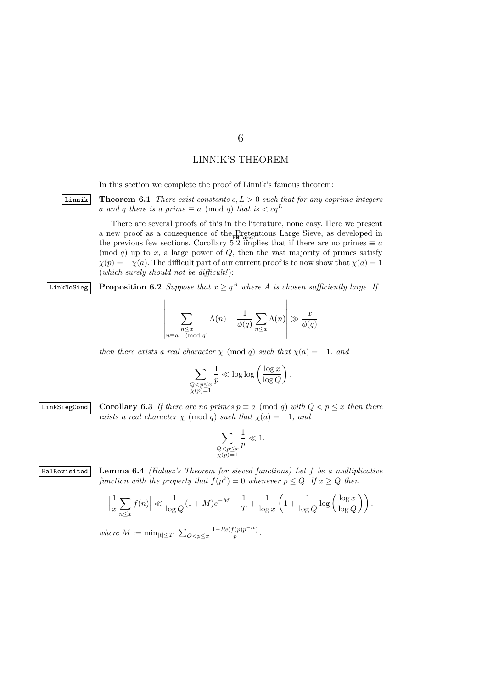# LINNIK'S THEOREM

In this section we complete the proof of Linnik's famous theorem:

Linnik **Theorem 6.1** *There exist constants c, L >* 0 *such that for any coprime integers a* and *q* there is a prime  $\equiv a \pmod{q}$  that is  $\lt c q^L$ .

> There are several proofs of this in the literature, none easy. Here we present a new proof as a consequence of the Pretentious Large Sieve, as developed in the previous few sections. Corollary  $\frac{p_0 + p_1 + p_2}{p_0 + p_1}$  and  $\frac{p_0 + p_2}{p_0 + p_1}$  are no primes  $\equiv a$ (mod  $q$ ) up to  $x$ , a large power of  $Q$ , then the vast majority of primes satisfy  $\chi(p) = -\chi(a)$ . The difficult part of our current proof is to now show that  $\chi(a) = 1$ (*which surely should not be difficult!*):

 $\Box$  **Proposition 6.2** *Suppose that*  $x \geq q^A$  *where*  $A$  *is chosen sufficiently large. If* 

$$
\sum_{\substack{n \le x \\ n \equiv a \pmod{q}}} \Lambda(n) - \frac{1}{\phi(q)} \sum_{n \le x} \Lambda(n) \ge \frac{x}{\phi(q)}
$$

*then there exists a real character*  $\chi$  (mod *q*) *such that*  $\chi$ (*a*) = -1*, and* 

$$
\sum_{\substack{Q < p \leq x \\ \chi(p)=1}} \frac{1}{p} \ll \log \log \left( \frac{\log x}{\log Q} \right).
$$

LinkSiegCond **Corollary 6.3** If there are no primes  $p \equiv a \pmod{q}$  with  $Q < p \leq x$  then there *exists a real character*  $\chi$  (mod *q*) *such that*  $\chi$ (*a*) = *−*1*, and* 

$$
\sum_{\substack{Q
$$

HalRevisited **Lemma 6.4** *(Halasz's Theorem for sieved functions) Let f be a multiplicative function with the property that*  $f(p^k) = 0$  *whenever*  $p \leq Q$ *. If*  $x \geq Q$  *then* 

$$
\left|\frac{1}{x}\sum_{n\leq x}f(n)\right| \ll \frac{1}{\log Q}(1+M)e^{-M} + \frac{1}{T} + \frac{1}{\log x}\left(1 + \frac{1}{\log Q}\log\left(\frac{\log x}{\log Q}\right)\right).
$$

where 
$$
M := \min_{|t| \leq T} \sum_{Q < p \leq x} \frac{1 - \text{Re}(f(p)p^{-it})}{p}
$$
.

 $\overline{\phantom{a}}$  $\overline{\phantom{a}}$  $\overline{\phantom{a}}$  $\overline{\phantom{a}}$  $\overline{\phantom{a}}$  $\overline{\phantom{a}}$  $\overline{\phantom{a}}$  $\overline{\phantom{a}}$  6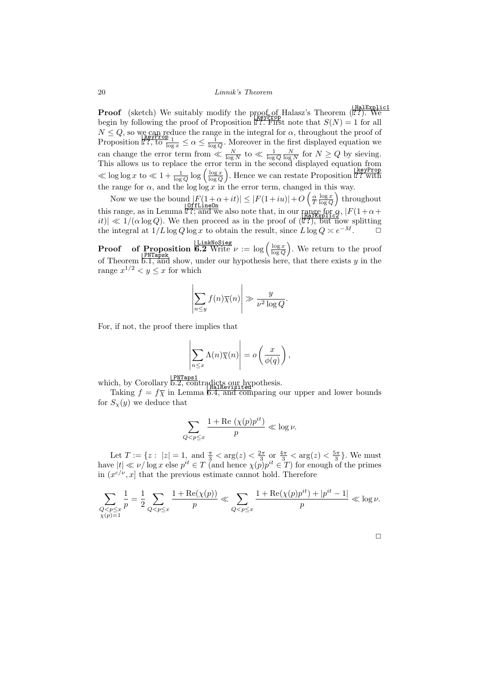**Proof** (sketch) We suitably modify the proof of Halasz's Theorem (1??). We begin by following the proof of Proposition ??. First note that  $S(N) = 1$  for all  $N \leq Q$ , so we can reduce the range in the integral for  $\alpha$ , throughout the proof of Proposition  $\mathbb{R}^n$ , to  $\frac{1}{\log x} \leq \alpha \leq \frac{1}{\log Q}$ . Moreover in the first displayed equation we can change the error term from  $\ll \frac{N}{\log N}$  to  $\ll \frac{1}{\log Q} \frac{N}{\log N}$  for  $N \ge Q$  by sieving. This allows us to replace the error term in the second displayed equation from  $\ll \log \log x$  to  $\ll 1 + \frac{1}{\log Q} \log \left( \frac{\log x}{\log Q} \right)$ . Hence we can restate Proposition <sup>1</sup>? with the range for  $\alpha$ , and the log log  $\alpha$  in the error term, changed in this way.

Now we use the bound  $|F(1+\alpha+it)| \leq |F(1+iu)| + O\left(\frac{\alpha}{T}\frac{\log x}{\log Q}\right)$  throughout this range, as in Lemma  $\frac{10 \text{ ff.LineOn}}{177}$ ; and we also note that, in our range for  $\alpha$ ,  $|F(1+\alpha+i\epsilon)| \ll 1/(\alpha \log Q)$ . We then proceed as in the proof of  $\frac{1}{277}$ , but now splitting the integral at  $1/L \log Q \log x$  to obtain the result, since  $L \log Q \asymp e^{-M}$ .  $\Box$ 

**Proof** of **Proposition**  $\frac{L\text{linkNoSieg}}{6.2 \text{ Write } \nu} := \log \left( \frac{\log x}{\log Q} \right)$ . We return to the proof of Theorem 5.1, and show, under our hypothesis here, that there exists *y* in the range  $x^{1/2} < y \leq x$  for which

$$
\left|\sum_{n\leq y} f(n)\overline{\chi}(n)\right| \gg \frac{y}{\nu^2 \log Q}.
$$

For, if not, the proof there implies that

$$
\left|\sum_{n\leq x}\Lambda(n)\overline{\chi}(n)\right|=o\left(\frac{x}{\phi(q)}\right),\,
$$

which, by Corollary 5.2, contradicts our hypothesis.

Taking  $f = f\overline{\chi}$  in Lemma  $\overline{6.4}$ , and comparing our upper and lower bounds for  $S_{\chi}(y)$  we deduce that

$$
\sum_{Q
$$

Let  $T := \{ z : |z| = 1, \text{ and } \frac{\pi}{3} < \arg(z) < \frac{2\pi}{3} \text{ or } \frac{4\pi}{3} < \arg(z) < \frac{5\pi}{3} \}.$  We must have  $|t| \ll \nu/\log x$  else  $p^{it} \in T$  (and hence  $\chi(p)p^{it} \in T$ ) for enough of the primes in  $(x^{c/\nu}, x]$  that the previous estimate cannot hold. Therefore

$$
\sum_{\substack{Q < p \leq x \\ \chi(p)=1}} \frac{1}{p} = \frac{1}{2} \sum_{Q < p \leq x} \frac{1 + \text{Re}(\chi(p))}{p} \ll \sum_{Q < p \leq x} \frac{1 + \text{Re}(\chi(p)p^{it}) + |p^{it} - 1|}{p} \ll \log \nu.
$$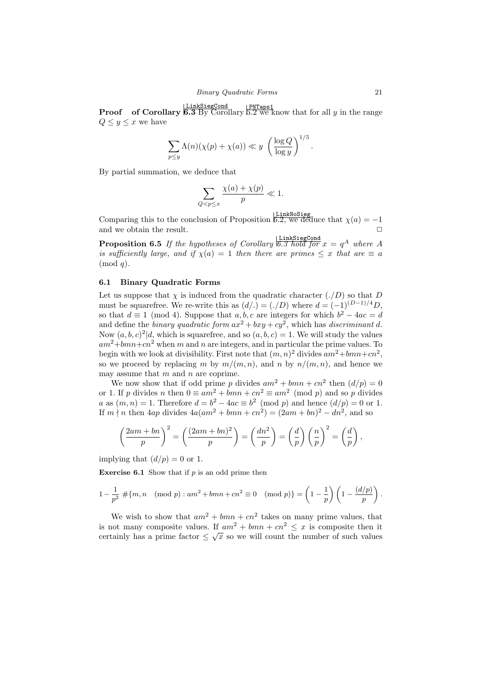**Proof** of Corollary 6.3 By Corollary  $\frac{PNTaps1}{P \cdot 2}$  we know that for all *y* in the range  $Q \leq y \leq x$  we have

$$
\sum_{p \leq y} \Lambda(n)(\chi(p) + \chi(a)) \ll y \left(\frac{\log Q}{\log y}\right)^{1/5}.
$$

By partial summation, we deduce that

$$
\sum_{Q < p \le x} \frac{\chi(a) + \chi(p)}{p} \ll 1.
$$

Comparing this to the conclusion of Proposition 6.2, we deduce that  $\chi(a) = -1$ and we obtain the result.

**Proposition 6.5** *If the hypotheses of Corollary*  $\overline{6.3 \text{ hold for } x = q^A \text{ where } A$ *is sufficiently large, and if*  $\chi(a) = 1$  *then there are primes*  $\leq x$  *that are*  $\equiv a$ (mod *q*)*.*

## **6.1 Binary Quadratic Forms**

Let us suppose that  $\chi$  is induced from the quadratic character  $(./D)$  so that *D* must be squarefree. We re-write this as  $(d) = (f/D)$  where  $d = (-1)^{(D-1)/4}D$ , so that  $d \equiv 1 \pmod{4}$ . Suppose that  $a, b, c$  are integers for which  $b^2 - 4ac = d$ and define the *binary quadratic form*  $ax^2 + bxy + cy^2$ , which has *discriminant d*. Now  $(a, b, c)^2 | d$ , which is squarefree, and so  $(a, b, c) = 1$ . We will study the values  $am^2+bmn+cn^2$  when *m* and *n* are integers, and in particular the prime values. To begin with we look at divisibility. First note that  $(m, n)^2$  divides  $am^2 + bmn + cn^2$ , so we proceed by replacing *m* by  $m/(m, n)$ , and *n* by  $n/(m, n)$ , and hence we may assume that *m* and *n* are coprime.

We now show that if odd prime p divides  $am^2 + bmn + cn^2$  then  $(d/p) = 0$ or 1. If *p* divides *n* then  $0 \equiv am^2 + bmn + cn^2 \equiv am^2 \pmod{p}$  and so *p* divides *a* as  $(m, n) = 1$ . Therefore  $d = b^2 - 4ac \equiv b^2 \pmod{p}$  and hence  $(d/p) = 0$  or 1. If  $m \nmid n$  then  $4ap$  divides  $4a(am^2 + bmn + cn^2) = (2am + bn)^2 - dn^2$ , and so

$$
\left(\frac{2am + bn}{p}\right)^2 = \left(\frac{(2am + bn)^2}{p}\right) = \left(\frac{dn^2}{p}\right) = \left(\frac{d}{p}\right)\left(\frac{n}{p}\right)^2 = \left(\frac{d}{p}\right),
$$

implying that  $(d/p) = 0$  or 1.

**Exercise 6.1** Show that if *p* is an odd prime then

$$
1 - \frac{1}{p^2} \# \{m, n \pmod{p} : am^2 + bmn + cn^2 \equiv 0 \pmod{p} \} = \left(1 - \frac{1}{p}\right) \left(1 - \frac{(d/p)}{p}\right).
$$

We wish to show that  $am^2 + bmn + cn^2$  takes on many prime values, that is not many composite values. If  $am^2 + bmn + cn^2 \leq x$  is composite then it certainly has a prime factor  $\leq \sqrt{x}$  so we will count the number of such values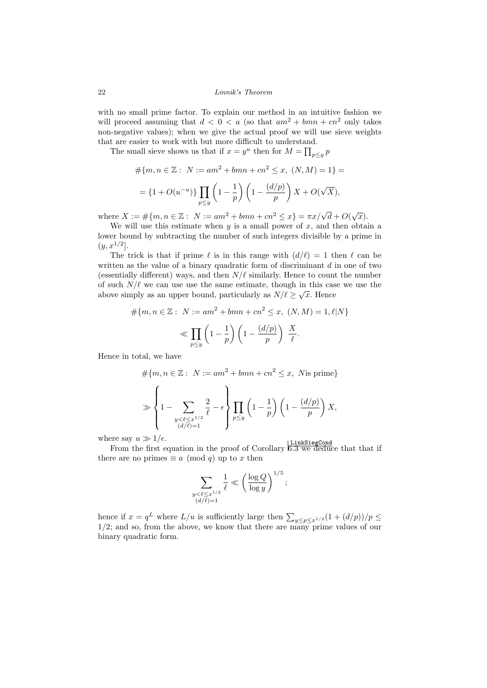with no small prime factor. To explain our method in an intuitive fashion we will proceed assuming that  $d < 0 < a$  (so that  $am^2 + bmn + cn^2$  only takes non-negative values); when we give the actual proof we will use sieve weights that are easier to work with but more difficult to understand.

The small sieve shows us that if  $x = y^u$  then for  $M = \prod_{p \le y} p^u$ 

$$
\#\{m, n \in \mathbb{Z} : N := am^2 + bmn + cn^2 \le x, (N, M) = 1\} =
$$
  
=  $\{1 + O(u^{-u})\} \prod_{p \le y} \left(1 - \frac{1}{p}\right) \left(1 - \frac{(d/p)}{p}\right) X + O(\sqrt{X}),$ 

where  $X := \#\{m, n \in \mathbb{Z} : N := am^2 + bmn + cn^2 \le x\} = \pi x/\sqrt{d} + O(\sqrt{x}).$ 

We will use this estimate when *y* is a small power of *x*, and then obtain a lower bound by subtracting the number of such integers divisible by a prime in  $(y, x^{1/2}]$ .

The trick is that if prime  $\ell$  is in this range with  $(d/\ell) = 1$  then  $\ell$  can be written as the value of a binary quadratic form of discriminant *d* in one of two (essentially different) ways, and then  $N/\ell$  similarly. Hence to count the number of such  $N/\ell$  we can use use the same estimate, though in this case we use the above simply as an upper bound, particularly as  $N/\ell \geq \sqrt{x}$ . Hence

$$
\#\{m, n \in \mathbb{Z}: N := am^2 + bmn + cn^2 \le x, (N, M) = 1, \ell | N \}
$$

$$
\ll \prod_{p \le y} \left(1 - \frac{1}{p}\right) \left(1 - \frac{(d/p)}{p}\right) \frac{X}{\ell}.
$$

Hence in total, we have

$$
\#\{m, n \in \mathbb{Z}: N := am^2 + bmn + cn^2 \le x, N \text{ is prime}\}\
$$

$$
\gg \left\{1 - \sum_{\substack{y < \ell \le x^{1/2} \\ (d/\ell) = 1}} \frac{2}{\ell} - \epsilon \right\} \prod_{p \le y} \left(1 - \frac{1}{p}\right) \left(1 - \frac{(d/p)}{p}\right) X,
$$

where say  $u \gg 1/\epsilon$ .

From the first equation in the proof of Corollary  $\frac{\text{LinkSiegCond}}{6.3 \text{ we deduce that that if}}$ there are no primes  $\equiv a \pmod{q}$  up to *x* then

$$
\sum_{\substack{y < \ell \leq x^{1/2} \\ (d/\ell) = 1}} \frac{1}{\ell} \ll \left(\frac{\log Q}{\log y}\right)^{1/5};
$$

hence if  $x = q^L$  where  $L/u$  is sufficiently large then  $\sum_{y \leq p \leq x^{1/2}} (1 + (d/p))/p \leq 1/2$ ; and so, from the above, we know that there are many prime values of our binary quadratic form.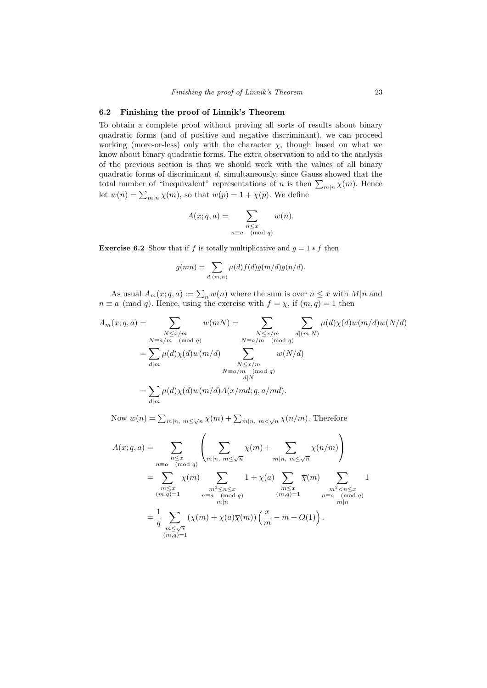## **6.2 Finishing the proof of Linnik's Theorem**

To obtain a complete proof without proving all sorts of results about binary quadratic forms (and of positive and negative discriminant), we can proceed working (more-or-less) only with the character  $\chi$ , though based on what we know about binary quadratic forms. The extra observation to add to the analysis of the previous section is that we should work with the values of all binary quadratic forms of discriminant *d*, simultaneously, since Gauss showed that the total number of "inequivalent" representations of *n* is then  $\sum_{m|n} \chi(m)$ . Hence let  $w(n) = \sum_{m|n} \chi(m)$ , so that  $w(p) = 1 + \chi(p)$ . We define

$$
A(x;q,a) = \sum_{\substack{n \le x \\ n \equiv a \pmod{q}}} w(n).
$$

**Exercise 6.2** Show that if *f* is totally multiplicative and  $q = 1 * f$  then

$$
g(mn) = \sum_{d|(m,n)} \mu(d)f(d)g(m/d)g(n/d).
$$

As usual  $A_m(x; q, a) := \sum_n w(n)$  where the sum is over  $n \leq x$  with  $M|n$  and  $n \equiv a \pmod{q}$ . Hence, using the exercise with  $f = \chi$ , if  $(m, q) = 1$  then

$$
A_m(x;q,a) = \sum_{\substack{N \le x/m \\ N \equiv a/m \pmod{q}}} w(mN) = \sum_{\substack{N \le x/m \\ N \equiv a/m \pmod{q}}} \sum_{\substack{d | (m,N) \\ d | m}} \mu(d)\chi(d)w(M/d)
$$

$$
= \sum_{d | m} \mu(d)\chi(d)w(m/d) \sum_{\substack{N \le x/m \\ M \equiv a/m \pmod{q}}} w(N/d)
$$

$$
= \sum_{d | m} \mu(d)\chi(d)w(m/d)A(x/md;q,a/md).
$$

Now  $w(n) = \sum_{m|n, m \le \sqrt{n}} \chi(m) + \sum_{m|n, m < \sqrt{n}} \chi(n/m)$ . Therefore

$$
A(x;q,a) = \sum_{\substack{n \leq x \\ n \equiv a \pmod{q}}} \left( \sum_{\substack{m|n, m \leq \sqrt{n} \\ (mod q)}} \chi(m) + \sum_{\substack{m|n, m \leq \sqrt{n} \\ m \leq \sqrt{n}}} \chi(n/m) \right)
$$
  
= 
$$
\sum_{\substack{m \leq x \\ (m,q)=1}} \chi(m) \sum_{\substack{m^2 \leq n \leq x \\ n \equiv a \pmod{q} \\ m|n}} 1 + \chi(a) \sum_{\substack{m \leq x \\ (m,q)=1}} \overline{\chi}(m) \sum_{\substack{m^2 < n \leq x \\ n \equiv a \pmod{q} \\ m|n}} 1
$$
  
= 
$$
\frac{1}{q} \sum_{\substack{m \leq \sqrt{x} \\ m \leq \sqrt{x} \\ (m,q)=1}} (\chi(m) + \chi(a) \overline{\chi}(m)) \left( \frac{x}{m} - m + O(1) \right).
$$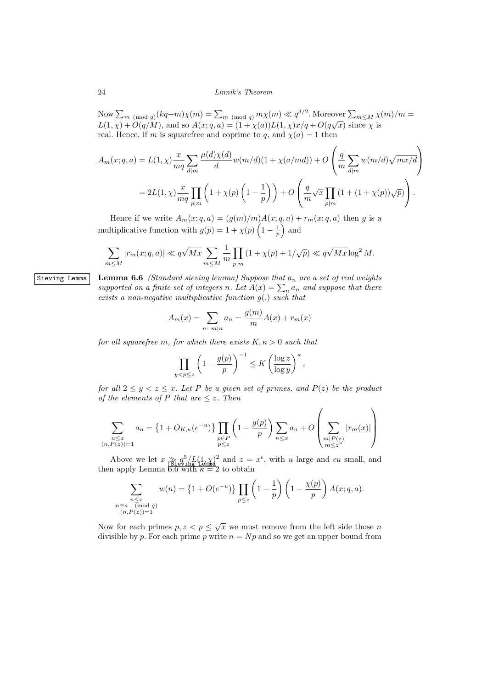$\sum_{m \pmod{q}} (kq+m)\chi(m) = \sum_{m \pmod{q}} m\chi(m) \ll q^{3/2}$ . Moreover  $\sum_{m\leq M} \chi(m)/m =$  $L(1, \chi) + O(q/M)$ , and so  $A(x; q, a) = (1 + \chi(a))L(1, \chi)x/q + O(q\sqrt{x})$  since  $\chi$  is real. Hence, if *m* is squarefree and coprime to *q*, and  $\chi(a) = 1$  then

$$
A_m(x;q,a) = L(1,\chi) \frac{x}{mq} \sum_{d|m} \frac{\mu(d)\chi(d)}{d} w(m/d) (1 + \chi(a/md)) + O\left(\frac{q}{m} \sum_{d|m} w(m/d) \sqrt{mx/d}\right)
$$
  
= 
$$
2L(1,\chi) \frac{x}{mq} \prod_{p|m} \left(1 + \chi(p) \left(1 - \frac{1}{p}\right)\right) + O\left(\frac{q}{m} \sqrt{x} \prod_{p|m} \left(1 + (1 + \chi(p))\sqrt{p}\right)\right).
$$

Hence if we write  $A_m(x; q, a) = (g(m)/m)A(x; q, a) + r_m(x; q, a)$  then g is a multiplicative function with  $g(p) = 1 + \chi(p) \left(1 - \frac{1}{p}\right)$  and

$$
\sum_{n\leq M} |r_m(x;q,a)| \ll q\sqrt{Mx} \sum_{m\leq M} \frac{1}{m} \prod_{p|m} (1+\chi(p)+1/\sqrt{p}) \ll q\sqrt{Mx} \log^2 M.
$$

Sieving Lemma **Lemma 6.6** *(Standard sieving lemma) Suppose that a<sup>n</sup> are a set of real weights supported on a finite set of integers n. Let*  $A(x) = \sum_{n} a_n$  *and suppose that there exists a non-negative multiplicative function g*(*.*) *such that*

$$
A_m(x) = \sum_{n \colon m|n} a_n = \frac{g(m)}{m} A(x) + r_m(x)
$$

*for all squarefree m, for which there exists*  $K, \kappa > 0$  *such that* 

$$
\prod_{y < p \le z} \left(1 - \frac{g(p)}{p}\right)^{-1} \le K \left(\frac{\log z}{\log y}\right)^{\kappa},\,
$$

*for all*  $2 \leq y \leq z \leq x$ *. Let P be a given set of primes, and*  $P(z)$  *be the product of the elements of*  $P$  *that are*  $\leq z$ *. Then* 

$$
\sum_{\substack{n \le x \\ (n, P(z)) = 1}} a_n = \left\{ 1 + O_{K,\kappa}(e^{-u}) \right\} \prod_{\substack{p \in P \\ p \le z}} \left( 1 - \frac{g(p)}{p} \right) \sum_{n \le x} a_n + O\left(\sum_{\substack{m | P(z) \\ m \le z^u}} |r_m(x)|\right)
$$

Above we let  $x \gtrsim q_1^5/L(1, \chi)^2$  and  $z = x^{\epsilon}$ , with *u* large and  $\epsilon u$  small, and then apply Lemma  $6.6$  with  $\kappa = 2$  to obtain

$$
\sum_{\substack{n \le x \\ n \equiv a \pmod{q} \\ (n, P(z)) = 1}} w(n) = \left\{1 + O(e^{-u})\right\} \prod_{p \le z} \left(1 - \frac{1}{p}\right) \left(1 - \frac{\chi(p)}{p}\right) A(x; q, a).
$$

Now for each primes  $p, z < p \leq \sqrt{x}$  we must remove from the left side those *n* divisible by  $p$ . For each prime  $p$  write  $n = Np$  and so we get an upper bound from

*m≤M*